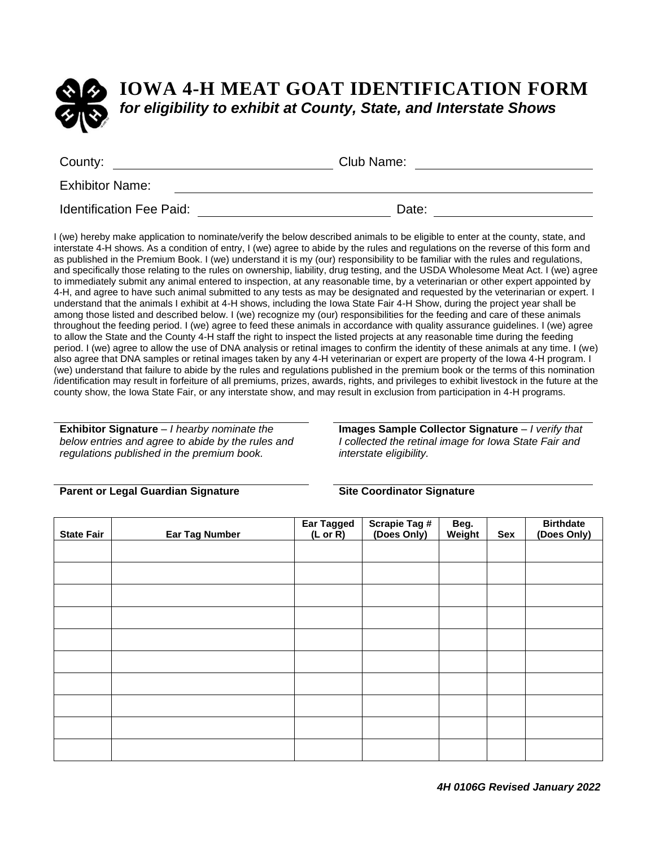

# **IOWA 4-H MEAT GOAT IDENTIFICATION FORM**  *for eligibility to exhibit at County, State, and Interstate Shows*

| County:                         | Club Name: |  |
|---------------------------------|------------|--|
| <b>Exhibitor Name:</b>          |            |  |
| <b>Identification Fee Paid:</b> | Date:      |  |

I (we) hereby make application to nominate/verify the below described animals to be eligible to enter at the county, state, and interstate 4-H shows. As a condition of entry, I (we) agree to abide by the rules and regulations on the reverse of this form and as published in the Premium Book. I (we) understand it is my (our) responsibility to be familiar with the rules and regulations, and specifically those relating to the rules on ownership, liability, drug testing, and the USDA Wholesome Meat Act. I (we) agree to immediately submit any animal entered to inspection, at any reasonable time, by a veterinarian or other expert appointed by 4-H, and agree to have such animal submitted to any tests as may be designated and requested by the veterinarian or expert. I understand that the animals I exhibit at 4-H shows, including the Iowa State Fair 4-H Show, during the project year shall be among those listed and described below. I (we) recognize my (our) responsibilities for the feeding and care of these animals throughout the feeding period. I (we) agree to feed these animals in accordance with quality assurance guidelines. I (we) agree to allow the State and the County 4-H staff the right to inspect the listed projects at any reasonable time during the feeding period. I (we) agree to allow the use of DNA analysis or retinal images to confirm the identity of these animals at any time. I (we) also agree that DNA samples or retinal images taken by any 4-H veterinarian or expert are property of the Iowa 4-H program. I (we) understand that failure to abide by the rules and regulations published in the premium book or the terms of this nomination /identification may result in forfeiture of all premiums, prizes, awards, rights, and privileges to exhibit livestock in the future at the county show, the Iowa State Fair, or any interstate show, and may result in exclusion from participation in 4-H programs.

**Exhibitor Signature** ‒ *I hearby nominate the below entries and agree to abide by the rules and regulations published in the premium book.*

**Images Sample Collector Signature** ‒ *I verify that I collected the retinal image for Iowa State Fair and interstate eligibility.* 

#### **Parent or Legal Guardian Signature Site Coordinator Signature**

| <b>State Fair</b> | <b>Ear Tag Number</b> | Ear Tagged<br>$(L \text{ or } R)$ | Scrapie Tag #<br>(Does Only) | Beg.<br>Weight | Sex | <b>Birthdate</b><br>(Does Only) |
|-------------------|-----------------------|-----------------------------------|------------------------------|----------------|-----|---------------------------------|
|                   |                       |                                   |                              |                |     |                                 |
|                   |                       |                                   |                              |                |     |                                 |
|                   |                       |                                   |                              |                |     |                                 |
|                   |                       |                                   |                              |                |     |                                 |
|                   |                       |                                   |                              |                |     |                                 |
|                   |                       |                                   |                              |                |     |                                 |
|                   |                       |                                   |                              |                |     |                                 |
|                   |                       |                                   |                              |                |     |                                 |
|                   |                       |                                   |                              |                |     |                                 |
|                   |                       |                                   |                              |                |     |                                 |